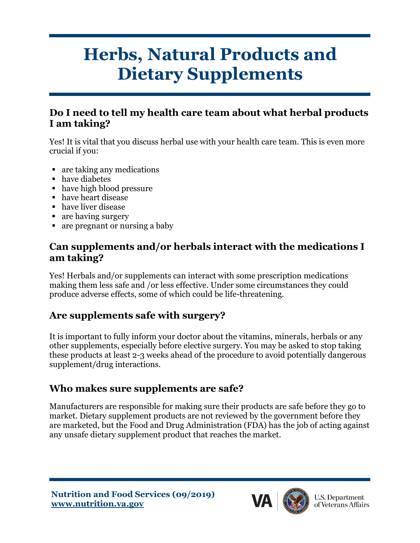# **Herbs, Natural Products and Dietary Supplements**

#### **Do I need to tell my health care team about what herbal products I am taking?**

Yes! It is vital that you discuss herbal use with your health care team. This is even more crucial if you:

- are taking any medications
- have diabetes
- have high blood pressure
- have heart disease
- have liver disease
- are having surgery
- are pregnant or nursing a baby

#### **Can supplements and/or herbals interact with the medications I am taking?**

Yes! Herbals and/or supplements can interact with some prescription medications making them less safe and /or less effective. Under some circumstances they could produce adverse effects, some of which could be life-threatening.

#### **Are supplements safe with surgery?**

It is important to fully inform your doctor about the vitamins, minerals, herbals or any other supplements, especially before elective surgery. You may be asked to stop taking these products at least 2-3 weeks ahead of the procedure to avoid potentially dangerous supplement/drug interactions.

#### **Who makes sure supplements are safe?**

Manufacturers are responsible for making sure their products are safe before they go to market. Dietary supplement products are not reviewed by the government before they are marketed, but the Food and Drug Administration (FDA) has the job of acting against any unsafe dietary supplement product that reaches the market.